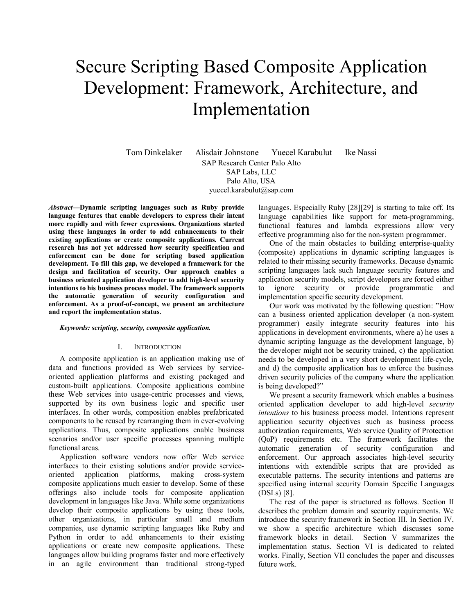# Secure Scripting Based Composite Application Development: Framework, Architecture, and Implementation

Tom Dinkelaker Alisdair Johnstone Yuecel Karabulut Ike Nassi SAP Research Center Palo Alto SAP Labs, LLC Palo Alto, USA yuecel.karabulut@sap.com

*Abstract***—Dynamic scripting languages such as Ruby provide language features that enable developers to express their intent more rapidly and with fewer expressions. Organizations started using these languages in order to add enhancements to their existing applications or create composite applications. Current research has not yet addressed how security specification and enforcement can be done for scripting based application development. To fill this gap, we developed a framework for the design and facilitation of security. Our approach enables a business oriented application developer to add high-level security intentions to his business process model. The framework supports the automatic generation of security configuration and enforcement. As a proof-of-concept, we present an architecture and report the implementation status.**

#### *Keywords: scripting, security, composite application.*

### I. INTRODUCTION

A composite application is an application making use of data and functions provided as Web services by serviceoriented application platforms and existing packaged and custom-built applications. Composite applications combine these Web services into usage-centric processes and views, supported by its own business logic and specific user interfaces. In other words, composition enables prefabricated components to be reused by rearranging them in ever-evolving applications. Thus, composite applications enable business scenarios and/or user specific processes spanning multiple functional areas.

Application software vendors now offer Web service interfaces to their existing solutions and/or provide serviceoriented application platforms, making cross-system composite applications much easier to develop. Some of these offerings also include tools for composite application development in languages like Java. While some organizations develop their composite applications by using these tools, other organizations, in particular small and medium companies, use dynamic scripting languages like Ruby and Python in order to add enhancements to their existing applications or create new composite applications. These languages allow building programs faster and more effectively in an agile environment than traditional strong-typed languages. Especially Ruby [28][29] is starting to take off. Its language capabilities like support for meta-programming, functional features and lambda expressions allow very effective programming also for the non-system programmer.

One of the main obstacles to building enterprise-quality (composite) applications in dynamic scripting languages is related to their missing security frameworks. Because dynamic scripting languages lack such language security features and application security models, script developers are forced either ignore security or provide programmatic and implementation specific security development.

Our work was motivated by the following question: "How can a business oriented application developer (a non-system programmer) easily integrate security features into his applications in development environments, where a) he uses a dynamic scripting language as the development language, b) the developer might not be security trained, c) the application needs to be developed in a very short development life-cycle, and d) the composite application has to enforce the business driven security policies of the company where the application is being developed?"

We present a security framework which enables a business oriented application developer to add high-level *security intentions* to his business process model. Intentions represent application security objectives such as business process authorization requirements, Web service Quality of Protection (QoP) requirements etc. The framework facilitates the automatic generation of security configuration and enforcement. Our approach associates high-level security intentions with extendible scripts that are provided as executable patterns. The security intentions and patterns are specified using internal security Domain Specific Languages (DSLs) [8].

The rest of the paper is structured as follows. Section II describes the problem domain and security requirements. We introduce the security framework in Section III. In Section IV, we show a specific architecture which discusses some framework blocks in detail. Section V summarizes the implementation status. Section VI is dedicated to related works. Finally, Section VII concludes the paper and discusses future work.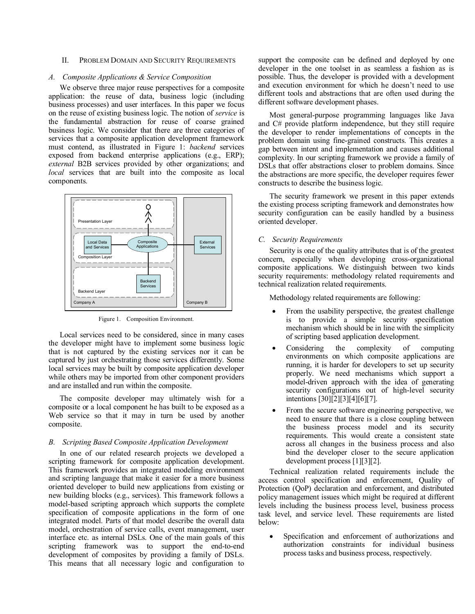## II. PROBLEM DOMAIN AND SECURITY REQUIREMENTS

#### *A. Composite Applications & Service Composition*

We observe three major reuse perspectives for a composite application: the reuse of data, business logic (including business processes) and user interfaces. In this paper we focus on the reuse of existing business logic. The notion of *service* is the fundamental abstraction for reuse of coarse grained business logic. We consider that there are three categories of services that a composite application development framework must contend, as illustrated in Figure 1: *backend* services exposed from backend enterprise applications (e.g., ERP); *external* B2B services provided by other organizations; and *local* services that are built into the composite as local components.



Figure 1. Composition Environment.

Local services need to be considered, since in many cases the developer might have to implement some business logic that is not captured by the existing services nor it can be captured by just orchestrating those services differently. Some local services may be built by composite application developer while others may be imported from other component providers and are installed and run within the composite.

The composite developer may ultimately wish for a composite or a local component he has built to be exposed as a Web service so that it may in turn be used by another composite.

# *B. Scripting Based Composite Application Development*

In one of our related research projects we developed a scripting framework for composite application development. This framework provides an integrated modeling environment and scripting language that make it easier for a more business oriented developer to build new applications from existing or new building blocks (e.g., services). This framework follows a model-based scripting approach which supports the complete specification of composite applications in the form of one integrated model. Parts of that model describe the overall data model, orchestration of service calls, event management, user interface etc. as internal DSLs. One of the main goals of this scripting framework was to support the end-to-end development of composites by providing a family of DSLs. This means that all necessary logic and configuration to support the composite can be defined and deployed by one developer in the one toolset in as seamless a fashion as is possible. Thus, the developer is provided with a development and execution environment for which he doesn't need to use different tools and abstractions that are often used during the different software development phases.

Most general-purpose programming languages like Java and C# provide platform independence, but they still require the developer to render implementations of concepts in the problem domain using fine-grained constructs. This creates a gap between intent and implementation and causes additional complexity. In our scripting framework we provide a family of DSLs that offer abstractions closer to problem domains. Since the abstractions are more specific, the developer requires fewer constructs to describe the business logic.

The security framework we present in this paper extends the existing process scripting framework and demonstrates how security configuration can be easily handled by a business oriented developer.

#### *C. Security Requirements*

Security is one of the quality attributes that is of the greatest concern, especially when developing cross-organizational composite applications. We distinguish between two kinds security requirements: methodology related requirements and technical realization related requirements.

Methodology related requirements are following:

- From the usability perspective, the greatest challenge is to provide a simple security specification mechanism which should be in line with the simplicity of scripting based application development.
- ! Considering the complexity of computing environments on which composite applications are running, it is harder for developers to set up security properly. We need mechanisms which support a model-driven approach with the idea of generating security configurations out of high-level security intentions [30][2][3][4][6][7].
- ! From the secure software engineering perspective, we need to ensure that there is a close coupling between the business process model and its security requirements. This would create a consistent state across all changes in the business process and also bind the developer closer to the secure application development process [1][3][2].

Technical realization related requirements include the access control specification and enforcement, Quality of Protection (QoP) declaration and enforcement, and distributed policy management issues which might be required at different levels including the business process level, business process task level, and service level. These requirements are listed below:

Specification and enforcement of authorizations and authorization constraints for individual business process tasks and business process, respectively.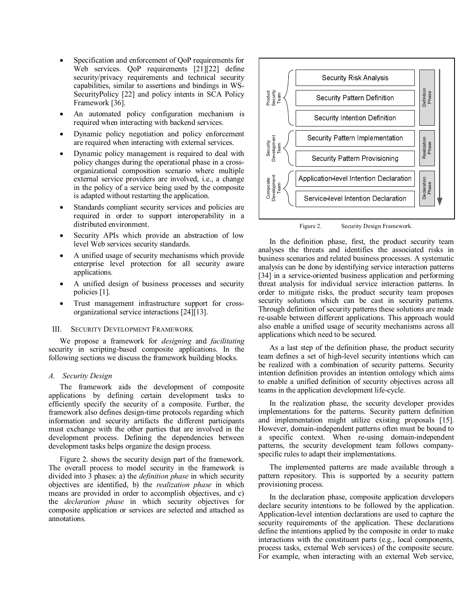- ! Specification and enforcement of QoP requirements for Web services. QoP requirements [21][22] define security/privacy requirements and technical security capabilities, similar to assertions and bindings in WS-SecurityPolicy [22] and policy intents in SCA Policy Framework [36].
- ! An automated policy configuration mechanism is required when interacting with backend services.
- Dynamic policy negotiation and policy enforcement are required when interacting with external services.
- ! Dynamic policy management is required to deal with policy changes during the operational phase in a crossorganizational composition scenario where multiple external service providers are involved, i.e., a change in the policy of a service being used by the composite is adapted without restarting the application.
- ! Standards compliant security services and policies are required in order to support interoperability in a distributed environment.
- Security APIs which provide an abstraction of low level Web services security standards.
- ! A unified usage of security mechanisms which provide enterprise level protection for all security aware applications.
- A unified design of business processes and security policies [1].
- Trust management infrastructure support for crossorganizational service interactions [24][13].

## III. SECURITY DEVELOPMENT FRAMEWORK

We propose a framework for *designing* and *facilitating* security in scripting-based composite applications. In the following sections we discuss the framework building blocks.

## *A. Security Design*

The framework aids the development of composite applications by defining certain development tasks to efficiently specify the security of a composite. Further, the framework also defines design-time protocols regarding which information and security artifacts the different participants must exchange with the other parties that are involved in the development process. Defining the dependencies between development tasks helps organize the design process.

Figure 2. shows the security design part of the framework. The overall process to model security in the framework is divided into 3 phases: a) the *definition phase* in which security objectives are identified, b) the *realization phase* in which means are provided in order to accomplish objectives, and c) the *declaration phase* in which security objectives for composite application or services are selected and attached as annotations.



Figure 2. Security Design Framework.

In the definition phase, first, the product security team analyses the threats and identifies the associated risks in business scenarios and related business processes. A systematic analysis can be done by identifying service interaction patterns [34] in a service-oriented business application and performing threat analysis for individual service interaction patterns. In order to mitigate risks, the product security team proposes security solutions which can be cast in security patterns. Through definition of security patterns these solutions are made re-usable between different applications. This approach would also enable a unified usage of security mechanisms across all applications which need to be secured.

As a last step of the definition phase, the product security team defines a set of high-level security intentions which can be realized with a combination of security patterns. Security intention definition provides an intention ontology which aims to enable a unified definition of security objectives across all teams in the application development life-cycle.

In the realization phase, the security developer provides implementations for the patterns. Security pattern definition and implementation might utilize existing proposals [15]. However, domain-independent patterns often must be bound to a specific context. When re-using domain-independent patterns, the security development team follows companyspecific rules to adapt their implementations.

The implemented patterns are made available through a pattern repository. This is supported by a security pattern provisioning process.

In the declaration phase, composite application developers declare security intentions to be followed by the application. Application-level intention declarations are used to capture the security requirements of the application. These declarations define the intentions applied by the composite in order to make interactions with the constituent parts (e.g., local components, process tasks, external Web services) of the composite secure. For example, when interacting with an external Web service,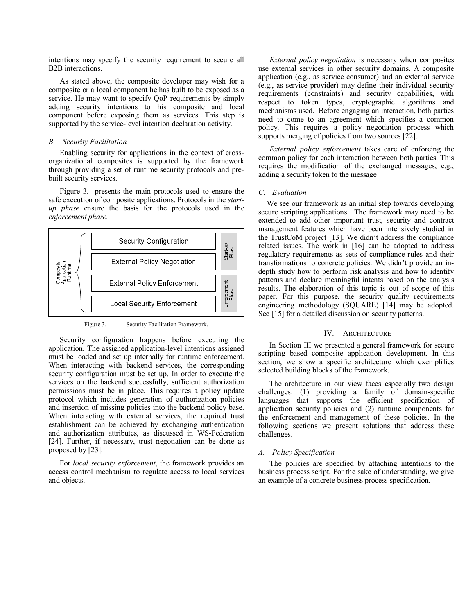intentions may specify the security requirement to secure all B2B interactions.

As stated above, the composite developer may wish for a composite or a local component he has built to be exposed as a service. He may want to specify QoP requirements by simply adding security intentions to his composite and local component before exposing them as services. This step is supported by the service-level intention declaration activity.

## *B. Security Facilitation*

Enabling security for applications in the context of crossorganizational composites is supported by the framework through providing a set of runtime security protocols and prebuilt security services.

Figure 3. presents the main protocols used to ensure the safe execution of composite applications. Protocols in the *startup phase* ensure the basis for the protocols used in the *enforcement phase.*



Figure 3. Security Facilitation Framework.

Security configuration happens before executing the application. The assigned application-level intentions assigned must be loaded and set up internally for runtime enforcement. When interacting with backend services, the corresponding security configuration must be set up. In order to execute the services on the backend successfully, sufficient authorization permissions must be in place. This requires a policy update protocol which includes generation of authorization policies and insertion of missing policies into the backend policy base. When interacting with external services, the required trust establishment can be achieved by exchanging authentication and authorization attributes, as discussed in WS-Federation [24]. Further, if necessary, trust negotiation can be done as proposed by [23].

For *local security enforcement*, the framework provides an access control mechanism to regulate access to local services and objects.

*External policy negotiation* is necessary when composites use external services in other security domains. A composite application (e.g., as service consumer) and an external service (e.g., as service provider) may define their individual security requirements (constraints) and security capabilities, with respect to token types, cryptographic algorithms and mechanisms used. Before engaging an interaction, both parties need to come to an agreement which specifies a common policy. This requires a policy negotiation process which supports merging of policies from two sources [22].

*External policy enforcement* takes care of enforcing the common policy for each interaction between both parties. This requires the modification of the exchanged messages, e.g., adding a security token to the message

#### *C. Evaluation*

We see our framework as an initial step towards developing secure scripting applications. The framework may need to be extended to add other important trust, security and contract management features which have been intensively studied in the TrustCoM project [13]. We didn't address the compliance related issues. The work in [16] can be adopted to address regulatory requirements as sets of compliance rules and their transformations to concrete policies. We didn't provide an indepth study how to perform risk analysis and how to identify patterns and declare meaningful intents based on the analysis results. The elaboration of this topic is out of scope of this paper. For this purpose, the security quality requirements engineering methodology (SQUARE) [14] may be adopted. See [15] for a detailed discussion on security patterns.

#### IV. ARCHITECTURE

In Section III we presented a general framework for secure scripting based composite application development. In this section, we show a specific architecture which exemplifies selected building blocks of the framework.

The architecture in our view faces especially two design challenges: (1) providing a family of domain-specific languages that supports the efficient specification of application security policies and (2) runtime components for the enforcement and management of these policies. In the following sections we present solutions that address these challenges.

### *A. Policy Specification*

The policies are specified by attaching intentions to the business process script. For the sake of understanding, we give an example of a concrete business process specification.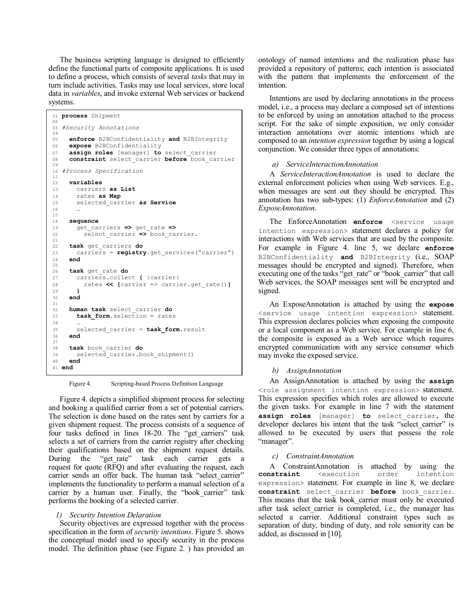The business scripting language is designed to efficiently define the functional parts of composite applications. It is used to define a process, which consists of several *tasks* that may in turn include activities. Tasks may use local services, store local data in *variables*, and invoke external Web services or backend systems.

```
01 process Shipment 02
03 #Security Annotations 04
0505 enforce B2BConfidentiality and B2BIntegrity
06 expose B2BConfidentiality
07 assign roles [manager] to select_carrier
08 constraint select_carrier before book_carrier 09
10 #Process Specification 11
12 variables
13 carriers as List
14 rates as Map
15 selected_carrier as Service
16 … \begin{array}{c} 17 \\ 18 \end{array}18 sequence
19 get_carriers => get_rate =>
20 select_carrier => book_carrier. 21
22 task get_carriers do
23 carriers = registry.get_services("carrier")
24 end 25
26 task get_rate do
27 carriers.collect { | carrier | 28 rates << { | carrier => carrier }
         28 rates << {carrier => carrier.get_rate()}
29 }
30 end 31
32 human task select_carrier do
33 task_form.selection = rates
34 …
35 selected_carrier = task_form.result
    36 end 37
38 task book_carrier do
39 selected carrier.book shipment()
40 end
41 end
```
Figure 4. Scripting-based Process Definition Language

Figure 4. depicts a simplified shipment process for selecting and booking a qualified carrier from a set of potential carriers. The selection is done based on the rates sent by carriers for a given shipment request. The process consists of a sequence of four tasks defined in lines 18-20. The "get\_carriers" task selects a set of carriers from the carrier registry after checking their qualifications based on the shipment request details. During the "get\_rate" task each carrier gets a request for quote (RFQ) and after evaluating the request, each carrier sends an offer back. The human task "select carrier" implements the functionality to perform a manual selection of a carrier by a human user. Finally, the "book\_carrier" task performs the booking of a selected carrier.

# *1) Security Intention Delaration*

Security objectives are expressed together with the process specification in the form of *security intentions*. Figure 5. shows the conceptual model used to specify security in the process model. The definition phase (see Figure 2. ) has provided an

ontology of named intentions and the realization phase has provided a repository of patterns; each intention is associated with the pattern that implements the enforcement of the intention.

Intentions are used by declaring annotations in the process model, i.e., a process may declare a composed set of intentions to be enforced by using an annotation attached to the process script. For the sake of simple exposition, we only consider interaction annotations over atomic intentions which are composed to an *intention expression* together by using a logical conjunction. We consider three types of annotations:

# *a) ServiceInteractionAnnotation*

A *ServiceInteractionAnnotation* is used to declare the external enforcement policies when using Web services. E.g., when messages are sent out they should be encrypted. This annotation has two sub-types: (1) *EnforceAnnotation* and (2) *ExposeAnnotation*.

The EnforceAnnotation **enforce** <service usage intention expression> statement declares a policy for interactions with Web services that are used by the composite. For example in Figure 4. line 5, we declare **enforce** B2BConfidentiality **and** B2BIntegrity (i.e., SOAP messages should be encrypted and signed). Therefore, when executing one of the tasks "get rate" or "book carrier" that call Web services, the SOAP messages sent will be encrypted and signed.

An ExposeAnnotation is attached by using the **expose** <service usage intention expression> statement. This expression declares policies when exposing the composite or a local component as a Web service. For example in line 6, the composite is exposed as a Web service which requires encrypted communication with any service consumer which may invoke the exposed service.

# *b) AssignAnnotation*

An AssignAnnotation is attached by using the **assign** <role assignment intention expression> statement. This expression specifies which roles are allowed to execute the given tasks. For example in line 7 with the statement **assign roles** [manager] **to** select\_carrier, the developer declares his intent that the task "select\_carrier" is allowed to be executed by users that possess the role "manager".

# *c) ConstraintAnnotation*

A ConstraintAnnotation is attached by using the **constraint** <execution order intention expression> statement. For example in line 8, we declare **constraint** select\_carrier **before** book\_carrier. This means that the task book\_carrier must only be executed after task select carrier is completed, i.e., the manager has selected a carrier. Additional constraint types such as separation of duty, binding of duty, and role seniority can be added, as discussed in [10].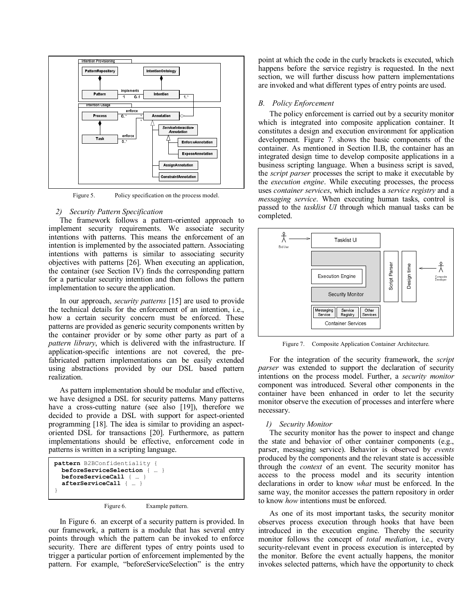

Figure 5. Policy specification on the process model.

#### *2) Security Pattern Specification*

The framework follows a pattern-oriented approach to implement security requirements. We associate security intentions with patterns. This means the enforcement of an intention is implemented by the associated pattern. Associating intentions with patterns is similar to associating security objectives with patterns [26]. When executing an application, the container (see Section IV) finds the corresponding pattern for a particular security intention and then follows the pattern implementation to secure the application.

In our approach, *security patterns* [15] are used to provide the technical details for the enforcement of an intention, i.e., how a certain security concern must be enforced. These patterns are provided as generic security components written by the container provider or by some other party as part of a *pattern library*, which is delivered with the infrastructure. If application-specific intentions are not covered, the prefabricated pattern implementations can be easily extended using abstractions provided by our DSL based pattern realization.

As pattern implementation should be modular and effective, we have designed a DSL for security patterns. Many patterns have a cross-cutting nature (see also [19]), therefore we decided to provide a DSL with support for aspect-oriented programming [18]. The idea is similar to providing an aspectoriented DSL for transactions [20]. Furthermore, as pattern implementations should be effective, enforcement code in patterns is written in a scripting language.

```
pattern B2BConfidentiality {
  beforeServiceSelection { … }
  beforeServiceCall { … }
  afterServiceCall { … }
}
```
Figure 6. Example pattern.

In Figure 6. an excerpt of a security pattern is provided. In our framework, a pattern is a module that has several entry points through which the pattern can be invoked to enforce security. There are different types of entry points used to trigger a particular portion of enforcement implemented by the pattern. For example, "beforeServiceSelection" is the entry point at which the code in the curly brackets is executed, which happens before the service registry is requested. In the next section, we will further discuss how pattern implementations are invoked and what different types of entry points are used.

#### *B. Policy Enforcement*

The policy enforcement is carried out by a security monitor which is integrated into composite application container. It constitutes a design and execution environment for application development. Figure 7. shows the basic components of the container. As mentioned in Section II.B, the container has an integrated design time to develop composite applications in a business scripting language. When a business script is saved, the *script parser* processes the script to make it executable by the *execution engine*. While executing processes, the process uses *container services*, which includes a *service registry* and a *messaging service*. When executing human tasks, control is passed to the *tasklist UI* through which manual tasks can be completed.



Figure 7. Composite Application Container Architecture.

For the integration of the security framework, the *script parser* was extended to support the declaration of security intentions on the process model. Further, a *security monitor* component was introduced. Several other components in the container have been enhanced in order to let the security monitor observe the execution of processes and interfere where necessary.

#### *1) Security Monitor*

The security monitor has the power to inspect and change the state and behavior of other container components (e.g., parser, messaging service). Behavior is observed by *events* produced by the components and the relevant state is accessible through the *context* of an event. The security monitor has access to the process model and its security intention declarations in order to know *what* must be enforced. In the same way, the monitor accesses the pattern repository in order to know *how* intentions must be enforced.

As one of its most important tasks, the security monitor observes process execution through hooks that have been introduced in the execution engine. Thereby the security monitor follows the concept of *total mediation*, i.e., every security-relevant event in process execution is intercepted by the monitor. Before the event actually happens, the monitor invokes selected patterns, which have the opportunity to check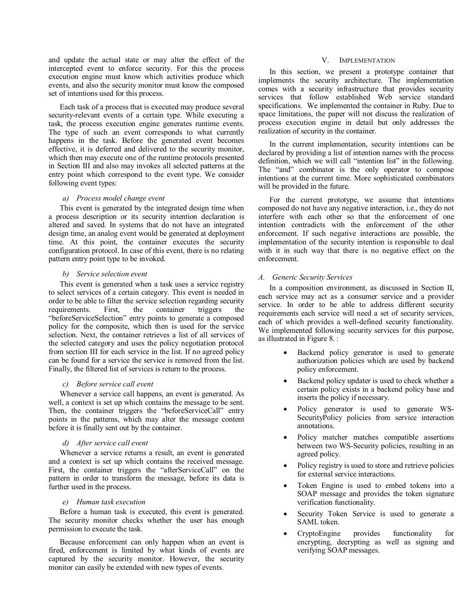and update the actual state or may alter the effect of the intercepted event to enforce security. For this the process execution engine must know which activities produce which events, and also the security monitor must know the composed set of intentions used for this process.

Each task of a process that is executed may produce several security-relevant events of a certain type. While executing a task, the process execution engine generates runtime events. The type of such an event corresponds to what currently happens in the task. Before the generated event becomes effective, it is deferred and delivered to the security monitor, which then may execute one of the runtime protocols presented in Section III and also may invokes all selected patterns at the entry point which correspond to the event type. We consider following event types:

## *a) Process model change event*

This event is generated by the integrated design time when a process description or its security intention declaration is altered and saved. In systems that do not have an integrated design time, an analog event would be generated at deployment time. At this point, the container executes the security configuration protocol. In case of this event, there is no relating pattern entry point type to be invoked.

## *b) Service selection event*

This event is generated when a task uses a service registry to select services of a certain category. This event is needed in order to be able to filter the service selection regarding security requirements. First, the container triggers the "beforeServiceSelection" entry points to generate a composed policy for the composite, which then is used for the service selection. Next, the container retrieves a list of all services of the selected category and uses the policy negotiation protocol from section III for each service in the list. If no agreed policy can be found for a service the service is removed from the list. Finally, the filtered list of services is return to the process.

# *c) Before service call event*

Whenever a service call happens, an event is generated. As well, a context is set up which contains the message to be sent. Then, the container triggers the "beforeServiceCall" entry points in the patterns, which may alter the message content before it is finally sent out by the container.

# *d) After service call event*

Whenever a service returns a result, an event is generated and a context is set up which contains the received message. First, the container triggers the "afterServiceCall" on the pattern in order to transform the message, before its data is further used in the process.

# *e) Human task execution*

Before a human task is executed, this event is generated. The security monitor checks whether the user has enough permission to execute the task.

Because enforcement can only happen when an event is fired, enforcement is limited by what kinds of events are captured by the security monitor. However, the security monitor can easily be extended with new types of events.

#### V. IMPLEMENTATION

In this section, we present a prototype container that implements the security architecture. The implementation comes with a security infrastructure that provides security services that follow established Web service standard specifications. We implemented the container in Ruby. Due to space limitations, the paper will not discuss the realization of process execution engine in detail but only addresses the realization of security in the container.

In the current implementation, security intentions can be declared by providing a list of intention names with the process definition, which we will call "intention list" in the following. The "and" combinator is the only operator to compose intentions at the current time. More sophisticated combinators will be provided in the future.

For the current prototype, we assume that intentions composed do not have any negative interaction, i.e., they do not interfere with each other so that the enforcement of one intention contradicts with the enforcement of the other enforcement. If such negative interactions are possible, the implementation of the security intention is responsible to deal with it in such way that there is no negative effect on the enforcement.

# *A. Generic Security Services*

In a composition environment, as discussed in Section II, each service may act as a consumer service and a provider service. In order to be able to address different security requirements each service will need a set of security services, each of which provides a well-defined security functionality. We implemented following security services for this purpose, as illustrated in Figure 8. :

- Backend policy generator is used to generate authorization policies which are used by backend policy enforcement.
- Backend policy updater is used to check whether a certain policy exists in a backend policy base and inserts the policy if necessary.
- ! Policy generator is used to generate WS-SecurityPolicy policies from service interaction annotations.
- Policy matcher matches compatible assertions between two WS-Security policies, resulting in an agreed policy.
- ! Policy registry is used to store and retrieve policies for external service interactions.
- ! Token Engine is used to embed tokens into a SOAP message and provides the token signature verification functionality.
- Security Token Service is used to generate a SAML token.
- ! CryptoEngine provides functionality for encrypting, decrypting as well as signing and verifying SOAP messages.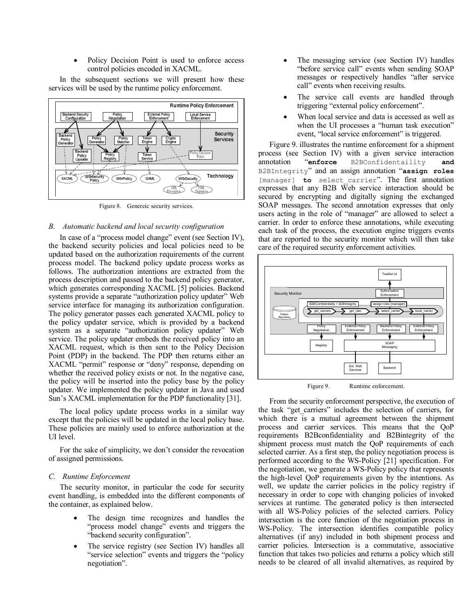Policy Decision Point is used to enforce access control policies encoded in XACML.

In the subsequent sections we will present how these services will be used by the runtime policy enforcement.



Figure 8. Genereic security services.

## *B. Automatic backend and local security configuration*

In case of a "process model change" event (see Section IV), the backend security policies and local policies need to be updated based on the authorization requirements of the current process model. The backend policy update process works as follows. The authorization intentions are extracted from the process description and passed to the backend policy generator, which generates corresponding XACML [5] policies. Backend systems provide a separate "authorization policy updater" Web service interface for managing its authorization configuration. The policy generator passes each generated XACML policy to the policy updater service, which is provided by a backend system as a separate "authorization policy updater" Web service. The policy updater embeds the received policy into an XACML request, which is then sent to the Policy Decision Point (PDP) in the backend. The PDP then returns either an XACML "permit" response or "deny" response, depending on whether the received policy exists or not. In the negative case, the policy will be inserted into the policy base by the policy updater. We implemented the policy updater in Java and used Sun's XACML implementation for the PDP functionality [31].

The local policy update process works in a similar way except that the policies will be updated in the local policy base. These policies are mainly used to enforce authorization at the UI level.

For the sake of simplicity, we don't consider the revocation of assigned permissions.

#### *C. Runtime Enforcement*

The security monitor, in particular the code for security event handling, is embedded into the different components of the container, as explained below.

- ! The design time recognizes and handles the "process model change" events and triggers the "backend security configuration".
- The service registry (see Section IV) handles all "service selection" events and triggers the "policy negotiation".
- The messaging service (see Section IV) handles "before service call" events when sending SOAP messages or respectively handles "after service call" events when receiving results.
- The service call events are handled through triggering "external policy enforcement".
- When local service and data is accessed as well as when the UI processes a "human task execution" event, "local service enforcement" is triggered.

Figure 9. illustrates the runtime enforcement for a shipment process (see Section IV) with a given service interaction annotation "**enforce** B2BConfidentaility **and** B2BIntegrity" and an assign annotation "**assign roles** [manager] **to** select carrier". The first annotation expresses that any B2B Web service interaction should be secured by encrypting and digitally signing the exchanged SOAP messages. The second annotation expresses that only users acting in the role of "manager" are allowed to select a carrier. In order to enforce these annotations, while executing each task of the process, the execution engine triggers events that are reported to the security monitor which will then take care of the required security enforcement activities.



From the security enforcement perspective, the execution of the task "get\_carriers" includes the selection of carriers, for which there is a mutual agreement between the shipment process and carrier services. This means that the QoP requirements B2Bconfidentiality and B2Bintegrity of the shipment process must match the QoP requirements of each selected carrier. As a first step, the policy negotiation process is performed according to the WS-Policy [21] specification. For the negotiation, we generate a WS-Policy policy that represents the high-level QoP requirements given by the intentions. As well, we update the carrier policies in the policy registry if necessary in order to cope with changing policies of invoked services at runtime. The generated policy is then intersected with all WS-Policy policies of the selected carriers. Policy intersection is the core function of the negotiation process in WS-Policy. The intersection identifies compatible policy alternatives (if any) included in both shipment process and carrier policies. Intersection is a commutative, associative function that takes two policies and returns a policy which still needs to be cleared of all invalid alternatives, as required by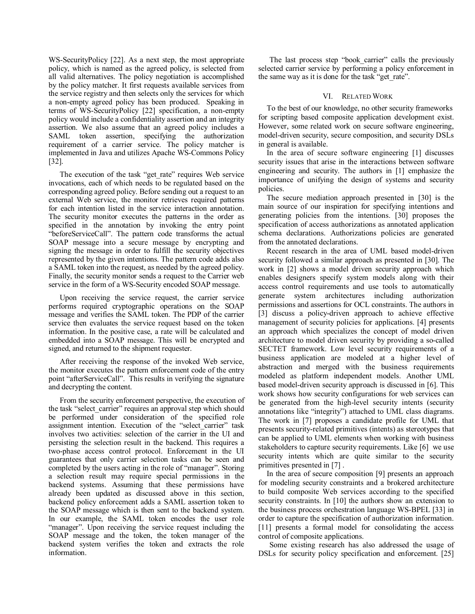WS-SecurityPolicy [22]. As a next step, the most appropriate policy, which is named as the agreed policy, is selected from all valid alternatives. The policy negotiation is accomplished by the policy matcher. It first requests available services from the service registry and then selects only the services for which a non-empty agreed policy has been produced. Speaking in terms of WS-SecurityPolicy [22] specification, a non-empty policy would include a confidentiality assertion and an integrity assertion. We also assume that an agreed policy includes a SAML token assertion, specifying the authorization requirement of a carrier service. The policy matcher is implemented in Java and utilizes Apache WS-Commons Policy [32].

The execution of the task "get\_rate" requires Web service invocations, each of which needs to be regulated based on the corresponding agreed policy. Before sending out a request to an external Web service, the monitor retrieves required patterns for each intention listed in the service interaction annotation. The security monitor executes the patterns in the order as specified in the annotation by invoking the entry point "beforeServiceCall". The pattern code transforms the actual SOAP message into a secure message by encrypting and signing the message in order to fulfill the security objectives represented by the given intentions. The pattern code adds also a SAML token into the request, as needed by the agreed policy. Finally, the security monitor sends a request to the Carrier web service in the form of a WS-Security encoded SOAP message.

Upon receiving the service request, the carrier service performs required cryptographic operations on the SOAP message and verifies the SAML token. The PDP of the carrier service then evaluates the service request based on the token information. In the positive case, a rate will be calculated and embedded into a SOAP message. This will be encrypted and signed, and returned to the shipment requester.

After receiving the response of the invoked Web service, the monitor executes the pattern enforcement code of the entry point "afterServiceCall". This results in verifying the signature and decrypting the content.

From the security enforcement perspective, the execution of the task "select\_carrier" requires an approval step which should be performed under consideration of the specified role assignment intention. Execution of the "select\_carrier" task involves two activities: selection of the carrier in the UI and persisting the selection result in the backend. This requires a two-phase access control protocol. Enforcement in the UI guarantees that only carrier selection tasks can be seen and completed by the users acting in the role of "manager". Storing a selection result may require special permissions in the backend systems. Assuming that these permissions have already been updated as discussed above in this section, backend policy enforcement adds a SAML assertion token to the SOAP message which is then sent to the backend system. In our example, the SAML token encodes the user role "manager". Upon receiving the service request including the SOAP message and the token, the token manager of the backend system verifies the token and extracts the role information.

The last process step "book carrier" calls the previously selected carrier service by performing a policy enforcement in the same way as it is done for the task "get\_rate".

# VI. RELATED WORK

To the best of our knowledge, no other security frameworks for scripting based composite application development exist. However, some related work on secure software engineering, model-driven security, secure composition, and security DSLs in general is available.

In the area of secure software engineering [1] discusses security issues that arise in the interactions between software engineering and security. The authors in [1] emphasize the importance of unifying the design of systems and security policies.

The secure mediation approach presented in [30] is the main source of our inspiration for specifying intentions and generating policies from the intentions. [30] proposes the specification of access authorizations as annotated application schema declarations. Authorizations policies are generated from the annotated declarations.

Recent research in the area of UML based model-driven security followed a similar approach as presented in [30]. The work in [2] shows a model driven security approach which enables designers specify system models along with their access control requirements and use tools to automatically generate system architectures including authorization permissions and assertions for OCL constraints. The authors in [3] discuss a policy-driven approach to achieve effective management of security policies for applications. [4] presents an approach which specializes the concept of model driven architecture to model driven security by providing a so-called SECTET framework. Low level security requirements of a business application are modeled at a higher level of abstraction and merged with the business requirements modeled as platform independent models. Another UML based model-driven security approach is discussed in [6]. This work shows how security configurations for web services can be generated from the high-level security intents (security annotations like "integrity") attached to UML class diagrams. The work in [7] proposes a candidate profile for UML that presents security-related primitives (intents) as stereotypes that can be applied to UML elements when working with business stakeholders to capture security requirements. Like [6] we use security intents which are quite similar to the security primitives presented in [7] .

In the area of secure composition [9] presents an approach for modeling security constraints and a brokered architecture to build composite Web services according to the specified security constraints. In [10] the authors show an extension to the business process orchestration language WS-BPEL [33] in order to capture the specification of authorization information. [11] presents a formal model for consolidating the access control of composite applications.

Some existing research has also addressed the usage of DSLs for security policy specification and enforcement. [25]